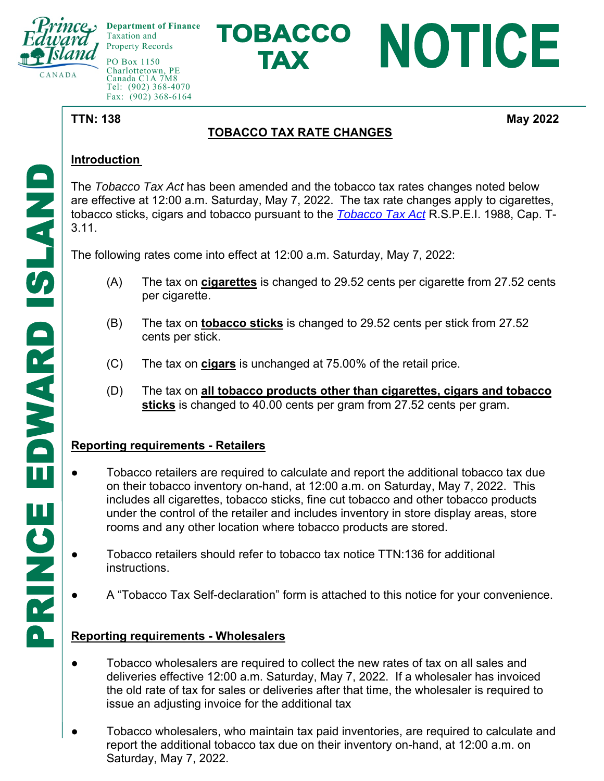

**Department of Finance**  Taxation and Property Records

PO Box 1150 Charlottetown, PE Canada C1A 7M8 Tel: (902) 368-4070 Fax: (902) 368-6164

# TOBACCO NOTICE **TAX**

**TTN: 138** May 2022

## **TOBACCO TAX RATE CHANGES**

#### **Introduction**

The *Tobacco Tax Act* has been amended and the tobacco tax rates changes noted below are effective at 12:00 a.m. Saturday, May 7, 2022. The tax rate changes apply to cigarettes, tobacco sticks, cigars and tobacco pursuant to the *Tobacco Tax Act* R.S.P.E.I. 1988, Cap. T-3.11.

The following rates come into effect at 12:00 a.m. Saturday, May 7, 2022:

- (A) The tax on **cigarettes** is changed to 29.52 cents per cigarette from 27.52 cents per cigarette.
- (B) The tax on **tobacco sticks** is changed to 29.52 cents per stick from 27.52 cents per stick.
- (C) The tax on **cigars** is unchanged at 75.00% of the retail price.
- (D) The tax on **all tobacco products other than cigarettes, cigars and tobacco sticks** is changed to 40.00 cents per gram from 27.52 cents per gram.

### **Reporting requirements - Retailers**

- Tobacco retailers are required to calculate and report the additional tobacco tax due on their tobacco inventory on-hand, at 12:00 a.m. on Saturday, May 7, 2022. This includes all cigarettes, tobacco sticks, fine cut tobacco and other tobacco products under the control of the retailer and includes inventory in store display areas, store rooms and any other location where tobacco products are stored.
- Tobacco retailers should refer to tobacco tax notice TTN:136 for additional **instructions**
- A "Tobacco Tax Self-declaration" form is attached to this notice for your convenience.

### **Reporting requirements - Wholesalers**

- Tobacco wholesalers are required to collect the new rates of tax on all sales and deliveries effective 12:00 a.m. Saturday, May 7, 2022. If a wholesaler has invoiced the old rate of tax for sales or deliveries after that time, the wholesaler is required to issue an adjusting invoice for the additional tax
- Tobacco wholesalers, who maintain tax paid inventories, are required to calculate and report the additional tobacco tax due on their inventory on-hand, at 12:00 a.m. on Saturday, May 7, 2022.